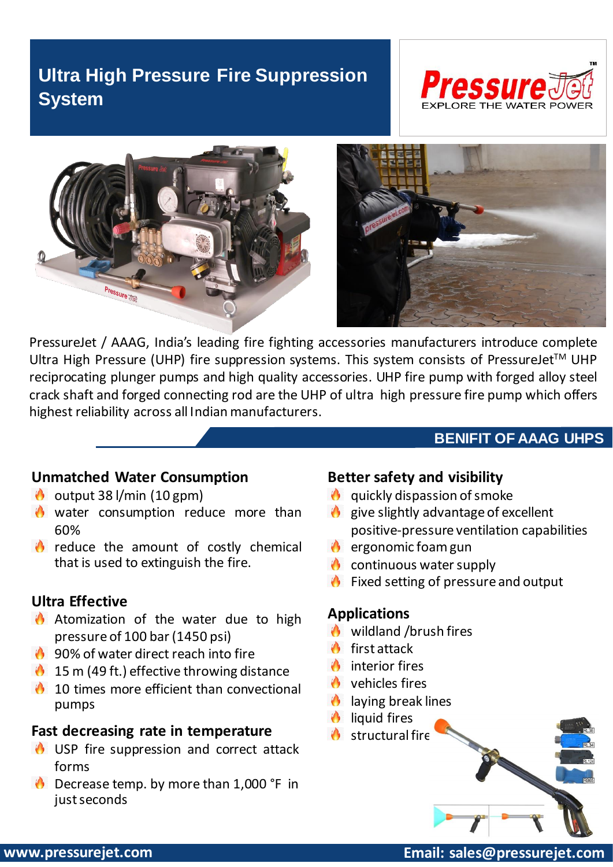# **Ultra High Pressure Fire Suppression System**







PressureJet / AAAG, India's leading fire fighting accessories manufacturers introduce complete Ultra High Pressure (UHP) fire suppression systems. This system consists of PressureJet<sup>™</sup> UHP reciprocating plunger pumps and high quality accessories. UHP fire pump with forged alloy steel crack shaft and forged connecting rod are the UHP of ultra high pressure fire pump which offers highest reliability across all Indian manufacturers.

### **BENIFIT OF AAAG UHPS**

#### **Unmatched Water Consumption**

- $\bullet$  output 38 l/min (10 gpm)
- **W** water consumption reduce more than 60%
- **O** reduce the amount of costly chemical that is used to extinguish the fire.

#### **Ultra Effective**

- **A** Atomization of the water due to high pressure of 100 bar(1450 psi)
- **1** 90% of water direct reach into fire
- $15$  m (49 ft.) effective throwing distance
- $\bigcirc$  10 times more efficient than convectional pumps

#### **Fast decreasing rate in temperature**

- USP fire suppression and correct attack forms
- **D** Decrease temp. by more than 1,000 °F in just seconds

#### **Better safety and visibility**

- $\theta$  quickly dispassion of smoke
- $\theta$  give slightly advantage of excellent positive-pressure ventilation capabilities
- $\bullet$  ergonomic foam gun
- $\bullet$  continuous water supply
- *O* Fixed setting of pressure and output

### **Applications**

- **O** wildland /brush fires
- $\bigcirc$  first attack
- $\bigcirc$  interior fires
- **O** vehicles fires
- *C* laying break lines
- $\bigcirc$  liquid fires
- structural fire